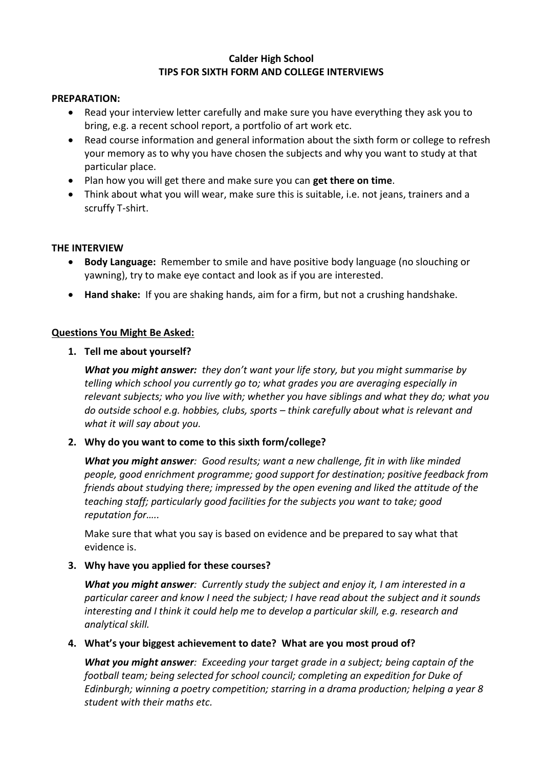### **Calder High School TIPS FOR SIXTH FORM AND COLLEGE INTERVIEWS**

## **PREPARATION:**

- Read your interview letter carefully and make sure you have everything they ask you to bring, e.g. a recent school report, a portfolio of art work etc.
- Read course information and general information about the sixth form or college to refresh your memory as to why you have chosen the subjects and why you want to study at that particular place.
- Plan how you will get there and make sure you can **get there on time**.
- Think about what you will wear, make sure this is suitable, i.e. not jeans, trainers and a scruffy T-shirt.

## **THE INTERVIEW**

- **Body Language:** Remember to smile and have positive body language (no slouching or yawning), try to make eye contact and look as if you are interested.
- **Hand shake:** If you are shaking hands, aim for a firm, but not a crushing handshake.

# **Questions You Might Be Asked:**

**1. Tell me about yourself?**

*What you might answer: they don't want your life story, but you might summarise by telling which school you currently go to; what grades you are averaging especially in relevant subjects; who you live with; whether you have siblings and what they do; what you do outside school e.g. hobbies, clubs, sports – think carefully about what is relevant and what it will say about you.*

# **2. Why do you want to come to this sixth form/college?**

*What you might answer: Good results; want a new challenge, fit in with like minded people, good enrichment programme; good support for destination; positive feedback from friends about studying there; impressed by the open evening and liked the attitude of the teaching staff; particularly good facilities for the subjects you want to take; good reputation for…..* 

Make sure that what you say is based on evidence and be prepared to say what that evidence is.

# **3. Why have you applied for these courses?**

*What you might answer: Currently study the subject and enjoy it, I am interested in a particular career and know I need the subject; I have read about the subject and it sounds interesting and I think it could help me to develop a particular skill, e.g. research and analytical skill.*

# **4. What's your biggest achievement to date? What are you most proud of?**

*What you might answer: Exceeding your target grade in a subject; being captain of the football team; being selected for school council; completing an expedition for Duke of Edinburgh; winning a poetry competition; starring in a drama production; helping a year 8 student with their maths etc.*